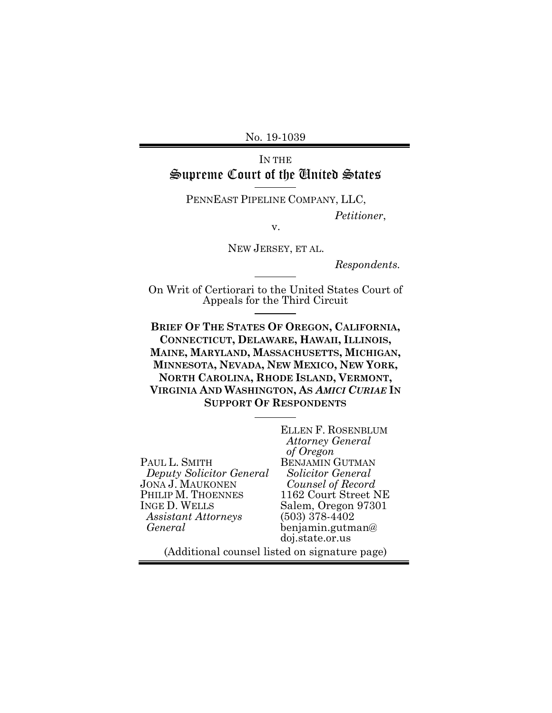No. 19-1039

# IN THE Supreme Court of the United States

PENNEAST PIPELINE COMPANY, LLC,

*Petitioner*,

v.

NEW JERSEY, ET AL.

*Respondents.*

On Writ of Certiorari to the United States Court of Appeals for the Third Circuit

**BRIEF OF THE STATES OF OREGON, CALIFORNIA, CONNECTICUT, DELAWARE, HAWAII, ILLINOIS, MAINE, MARYLAND, MASSACHUSETTS, MICHIGAN, MINNESOTA, NEVADA, NEW MEXICO, NEW YORK, NORTH CAROLINA, RHODE ISLAND, VERMONT, VIRGINIA AND WASHINGTON, AS** *AMICI CURIAE* **IN SUPPORT OF RESPONDENTS**

|                            | <b>ELLEN F. ROSENBLUM</b> |
|----------------------------|---------------------------|
|                            | <b>Attorney General</b>   |
|                            | of Oregon                 |
| PAUL L. SMITH              | <b>BENJAMIN GUTMAN</b>    |
| Deputy Solicitor General   | Solicitor General         |
| <b>JONA J. MAUKONEN</b>    | Counsel of Record         |
| PHILIP M. THOENNES         | 1162 Court Street NE      |
| <b>INGE D. WELLS</b>       | Salem, Oregon 97301       |
| <b>Assistant Attorneys</b> | $(503)$ 378-4402          |
| General                    | benjamin.gutman@          |
|                            | doj.state.or.us           |
| .                          |                           |

(Additional counsel listed on signature page)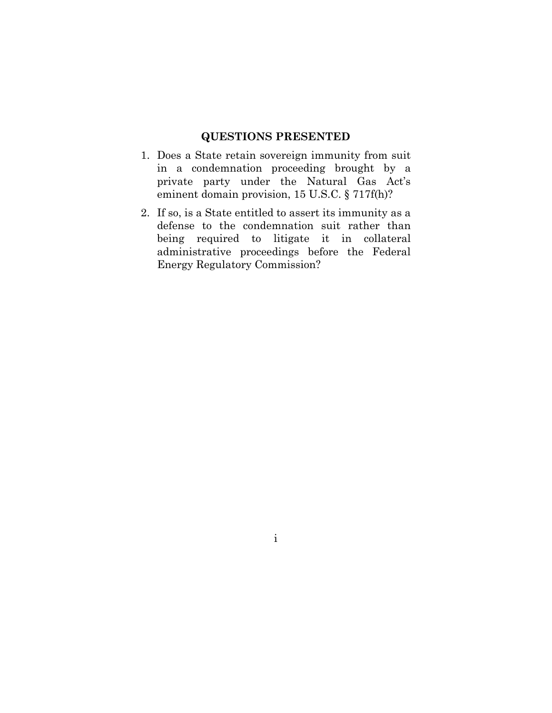## <span id="page-1-1"></span>**QUESTIONS PRESENTED**

- <span id="page-1-0"></span>1. Does a State retain sovereign immunity from suit in a condemnation proceeding brought by a private party under the Natural Gas Act's eminent domain provision, 15 U.S.C. § 717f(h)?
- 2. If so, is a State entitled to assert its immunity as a defense to the condemnation suit rather than being required to litigate it in collateral administrative proceedings before the Federal Energy Regulatory Commission?

i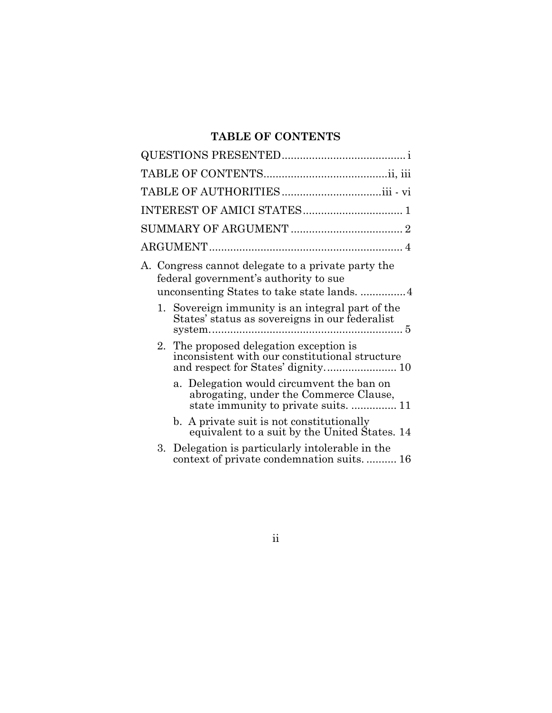# <span id="page-2-0"></span>**TABLE OF CONTENTS**

| A. Congress cannot delegate to a private party the<br>federal government's authority to sue                                 |  |  |  |
|-----------------------------------------------------------------------------------------------------------------------------|--|--|--|
| 1. Sovereign immunity is an integral part of the<br>States' status as sovereigns in our federalist                          |  |  |  |
| 2. The proposed delegation exception is<br>inconsistent with our constitutional structure                                   |  |  |  |
| a. Delegation would circumvent the ban on<br>abrogating, under the Commerce Clause,<br>state immunity to private suits.  11 |  |  |  |
| b. A private suit is not constitutionally<br>equivalent to a suit by the United States. 14                                  |  |  |  |
| 3. Delegation is particularly intolerable in the<br>context of private condemnation suits 16                                |  |  |  |

ii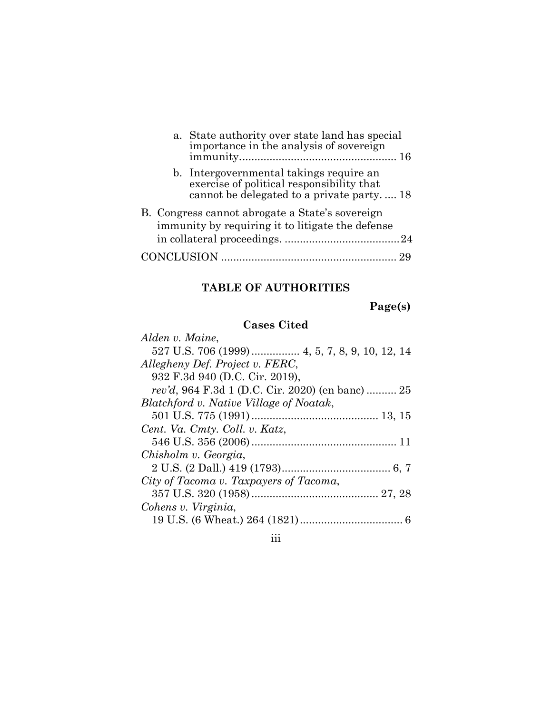|  | a. State authority over state land has special<br>importance in the analysis of sovereign                                         |  |
|--|-----------------------------------------------------------------------------------------------------------------------------------|--|
|  | b. Intergovernmental takings require an<br>exercise of political responsibility that<br>cannot be delegated to a private party 18 |  |
|  | B. Congress cannot abrogate a State's sovereign<br>immunity by requiring it to litigate the defense                               |  |
|  | CONCLUSION                                                                                                                        |  |

# <span id="page-3-0"></span>**TABLE OF AUTHORITIES**

**Page(s)**

# **Cases Cited**

| Alden v. Maine,                                          |
|----------------------------------------------------------|
|                                                          |
| Allegheny Def. Project v. FERC,                          |
| 932 F.3d 940 (D.C. Cir. 2019),                           |
| <i>rev'd</i> , 964 F.3d 1 (D.C. Cir. 2020) (en banc)  25 |
| Blatchford v. Native Village of Noatak,                  |
|                                                          |
| Cent. Va. Cmty. Coll. v. Katz,                           |
|                                                          |
| Chisholm v. Georgia,                                     |
|                                                          |
| City of Tacoma v. Taxpayers of Tacoma,                   |
|                                                          |
| Cohens v. Virginia,                                      |
|                                                          |

iii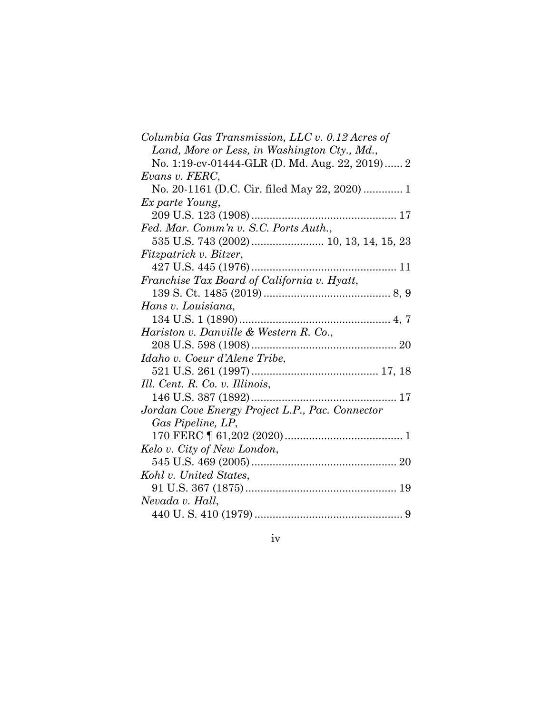| Columbia Gas Transmission, LLC v. 0.12 Acres of |
|-------------------------------------------------|
| Land, More or Less, in Washington Cty., Md.,    |
| No. 1:19-cv-01444-GLR (D. Md. Aug. 22, 2019) 2  |
| Evans v. FERC,                                  |
| No. 20-1161 (D.C. Cir. filed May 22, 2020)  1   |
| Ex parte Young,                                 |
|                                                 |
| Fed. Mar. Comm'n v. S.C. Ports Auth.,           |
| 535 U.S. 743 (2002)  10, 13, 14, 15, 23         |
| Fitzpatrick v. Bitzer,                          |
|                                                 |
| Franchise Tax Board of California v. Hyatt,     |
|                                                 |
| Hans v. Louisiana,                              |
|                                                 |
| Hariston v. Danville & Western R. Co.,          |
|                                                 |
| Idaho v. Coeur d'Alene Tribe,                   |
|                                                 |
| Ill. Cent. R. Co. v. Illinois,                  |
|                                                 |
| Jordan Cove Energy Project L.P., Pac. Connector |
| Gas Pipeline, LP,                               |
|                                                 |
| Kelo v. City of New London,                     |
|                                                 |
| Kohl v. United States,                          |
|                                                 |
| Nevada v. Hall,                                 |
|                                                 |
|                                                 |

iv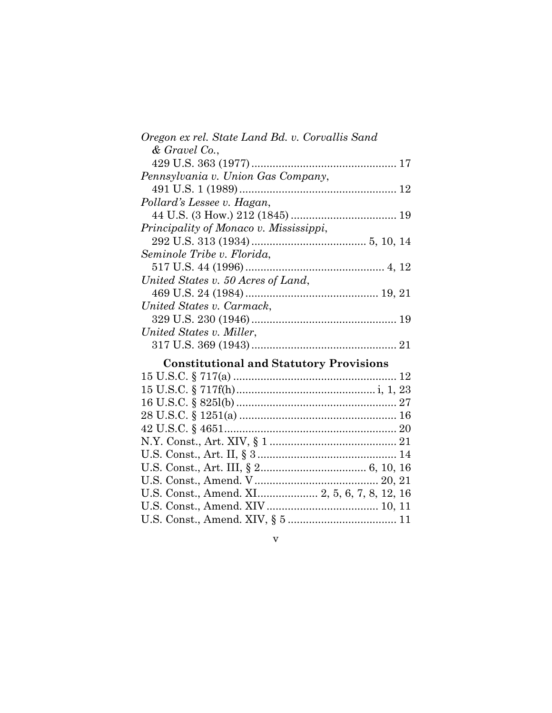| Oregon ex rel. State Land Bd. v. Corvallis Sand                                                                                                                                                                                                                                              |
|----------------------------------------------------------------------------------------------------------------------------------------------------------------------------------------------------------------------------------------------------------------------------------------------|
| $&$ Gravel Co.,                                                                                                                                                                                                                                                                              |
|                                                                                                                                                                                                                                                                                              |
| Pennsylvania v. Union Gas Company,                                                                                                                                                                                                                                                           |
|                                                                                                                                                                                                                                                                                              |
| Pollard's Lessee v. Hagan,                                                                                                                                                                                                                                                                   |
|                                                                                                                                                                                                                                                                                              |
| Principality of Monaco v. Mississippi,                                                                                                                                                                                                                                                       |
|                                                                                                                                                                                                                                                                                              |
| Seminole Tribe v. Florida,                                                                                                                                                                                                                                                                   |
|                                                                                                                                                                                                                                                                                              |
| United States v. 50 Acres of Land,                                                                                                                                                                                                                                                           |
|                                                                                                                                                                                                                                                                                              |
| United States v. Carmack,                                                                                                                                                                                                                                                                    |
|                                                                                                                                                                                                                                                                                              |
| United States v. Miller,                                                                                                                                                                                                                                                                     |
|                                                                                                                                                                                                                                                                                              |
| $\mathbf{r}$ , and the set of $\mathbf{r}$ and $\mathbf{r}$ and $\mathbf{r}$ and $\mathbf{r}$ and $\mathbf{r}$ and $\mathbf{r}$ and $\mathbf{r}$ and $\mathbf{r}$ and $\mathbf{r}$ and $\mathbf{r}$ and $\mathbf{r}$ and $\mathbf{r}$ and $\mathbf{r}$ and $\mathbf{r}$ and $\mathbf{r}$ and |

# **Constitutional and Statutory Provisions** 15 U.S.C. § 717(a) ...................................................... 12 15 U.S.C. § 717f(h).............................................. i, 1, 23 16 U.S.C. § 825l(b) ..................................................... 27 28 U.S.C. § 1251(a) .................................................... 16 42 U.S.C. § 4651......................................................... 20 N.Y. Const., Art. XIV, § 1 .......................................... 21 U.S. Const., Art. II, § 3 .............................................. 14 U.S. Const., Art. III, § 2................................... 6, 10, 16 U.S. Const., Amend. V......................................... 20, 21 U.S. Const., Amend. XI.................... 2, 5, 6, 7, 8, 12, 16 U.S. Const., Amend. XIV..................................... 10, 11 U.S. Const., Amend. XIV, § 5 .................................... 11

#### v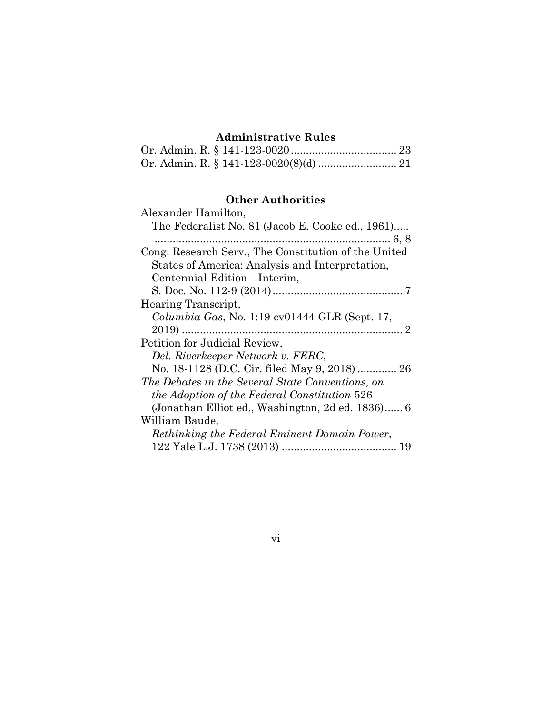# **Administrative Rules**

# **Other Authorities**

| 1101 11010110105                                     |
|------------------------------------------------------|
| Alexander Hamilton,                                  |
| The Federalist No. 81 (Jacob E. Cooke ed., 1961)     |
|                                                      |
| Cong. Research Serv., The Constitution of the United |
| States of America: Analysis and Interpretation,      |
| Centennial Edition—Interim,                          |
|                                                      |
| Hearing Transcript,                                  |
| Columbia Gas, No. 1:19-cv01444-GLR (Sept. 17,        |
|                                                      |
| Petition for Judicial Review,                        |
| Del. Riverkeeper Network v. FERC,                    |
| No. 18-1128 (D.C. Cir. filed May 9, 2018) 26         |
| The Debates in the Several State Conventions, on     |
| <i>the Adoption of the Federal Constitution</i> 526  |
| (Jonathan Elliot ed., Washington, 2d ed. 1836) 6     |
| William Baude,                                       |
| Rethinking the Federal Eminent Domain Power,         |
|                                                      |
|                                                      |

vi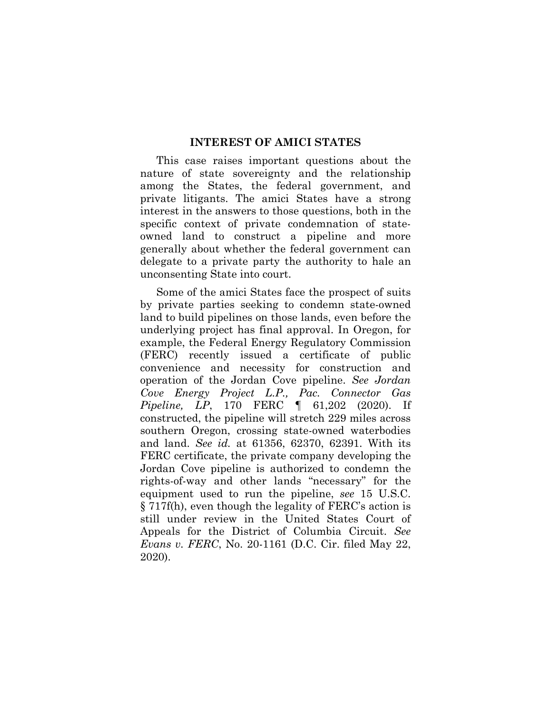### <span id="page-7-1"></span>**INTEREST OF AMICI STATES**

<span id="page-7-0"></span>This case raises important questions about the nature of state sovereignty and the relationship among the States, the federal government, and private litigants. The amici States have a strong interest in the answers to those questions, both in the specific context of private condemnation of stateowned land to construct a pipeline and more generally about whether the federal government can delegate to a private party the authority to hale an unconsenting State into court.

Some of the amici States face the prospect of suits by private parties seeking to condemn state-owned land to build pipelines on those lands, even before the underlying project has final approval. In Oregon, for example, the Federal Energy Regulatory Commission (FERC) recently issued a certificate of public convenience and necessity for construction and operation of the Jordan Cove pipeline. *See Jordan Cove Energy Project L.P., Pac. Connector Gas Pipeline, LP*, 170 FERC ¶ 61,202 (2020). If constructed, the pipeline will stretch 229 miles across southern Oregon, crossing state-owned waterbodies and land. *See id.* at 61356, 62370, 62391. With its FERC certificate, the private company developing the Jordan Cove pipeline is authorized to condemn the rights-of-way and other lands "necessary" for the equipment used to run the pipeline, *see* 15 U.S.C. § 717f(h), even though the legality of FERC's action is still under review in the United States Court of Appeals for the District of Columbia Circuit. *See Evans v. FERC*, No. 20-1161 (D.C. Cir. filed May 22, 2020).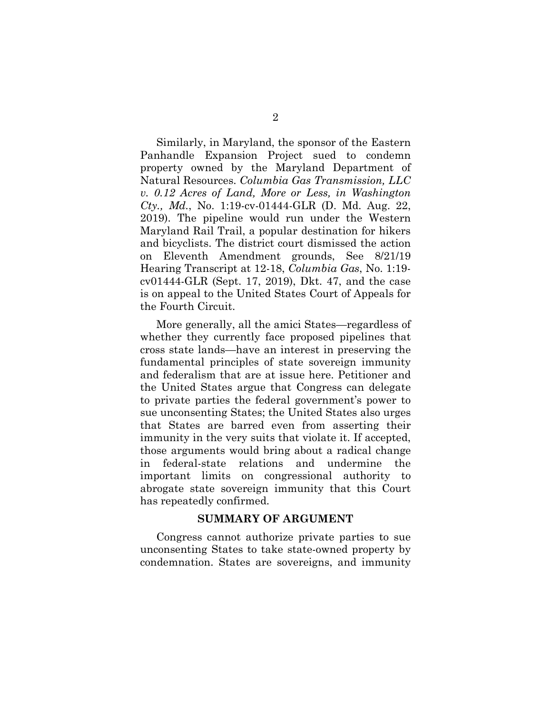Similarly, in Maryland, the sponsor of the Eastern Panhandle Expansion Project sued to condemn property owned by the Maryland Department of Natural Resources. *Columbia Gas Transmission, LLC v. 0.12 Acres of Land, More or Less, in Washington Cty., Md.*, No. 1:19-cv-01444-GLR (D. Md. Aug. 22, 2019). The pipeline would run under the Western Maryland Rail Trail, a popular destination for hikers and bicyclists. The district court dismissed the action on Eleventh Amendment grounds, See 8/21/19 Hearing Transcript at 12-18, *Columbia Gas*, No. 1:19 cv01444-GLR (Sept. 17, 2019), Dkt. 47, and the case is on appeal to the United States Court of Appeals for the Fourth Circuit.

More generally, all the amici States—regardless of whether they currently face proposed pipelines that cross state lands—have an interest in preserving the fundamental principles of state sovereign immunity and federalism that are at issue here. Petitioner and the United States argue that Congress can delegate to private parties the federal government's power to sue unconsenting States; the United States also urges that States are barred even from asserting their immunity in the very suits that violate it. If accepted, those arguments would bring about a radical change in federal-state relations and undermine the important limits on congressional authority to abrogate state sovereign immunity that this Court has repeatedly confirmed.

#### <span id="page-8-1"></span>**SUMMARY OF ARGUMENT**

<span id="page-8-0"></span>Congress cannot authorize private parties to sue unconsenting States to take state-owned property by condemnation. States are sovereigns, and immunity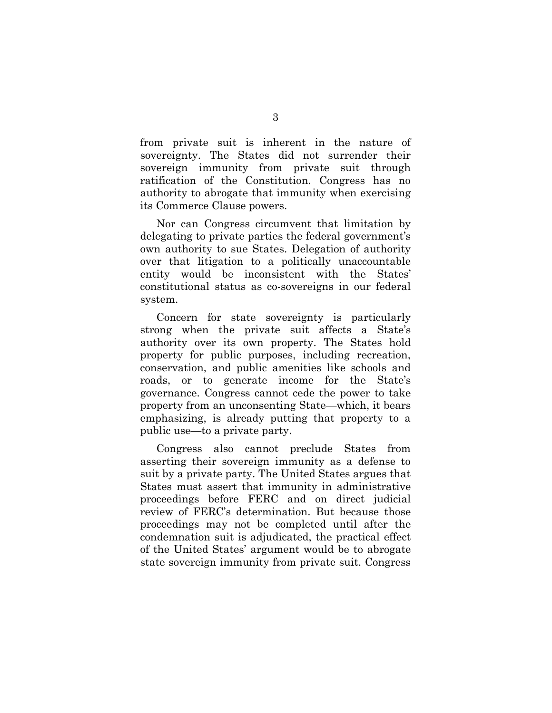from private suit is inherent in the nature of sovereignty. The States did not surrender their sovereign immunity from private suit through ratification of the Constitution. Congress has no authority to abrogate that immunity when exercising its Commerce Clause powers.

Nor can Congress circumvent that limitation by delegating to private parties the federal government's own authority to sue States. Delegation of authority over that litigation to a politically unaccountable entity would be inconsistent with the States' constitutional status as co-sovereigns in our federal system.

Concern for state sovereignty is particularly strong when the private suit affects a State's authority over its own property. The States hold property for public purposes, including recreation, conservation, and public amenities like schools and roads, or to generate income for the State's governance. Congress cannot cede the power to take property from an unconsenting State—which, it bears emphasizing, is already putting that property to a public use—to a private party.

Congress also cannot preclude States from asserting their sovereign immunity as a defense to suit by a private party. The United States argues that States must assert that immunity in administrative proceedings before FERC and on direct judicial review of FERC's determination. But because those proceedings may not be completed until after the condemnation suit is adjudicated, the practical effect of the United States' argument would be to abrogate state sovereign immunity from private suit. Congress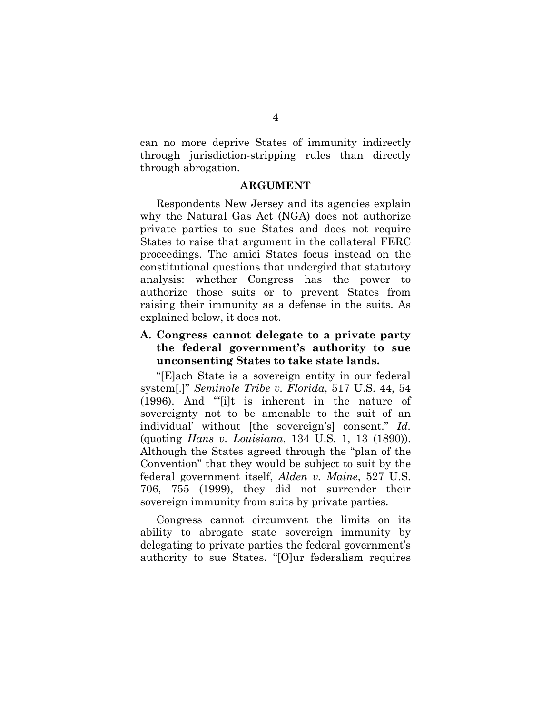can no more deprive States of immunity indirectly through jurisdiction-stripping rules than directly through abrogation.

#### <span id="page-10-1"></span>**ARGUMENT**

<span id="page-10-0"></span>Respondents New Jersey and its agencies explain why the Natural Gas Act (NGA) does not authorize private parties to sue States and does not require States to raise that argument in the collateral FERC proceedings. The amici States focus instead on the constitutional questions that undergird that statutory analysis: whether Congress has the power to authorize those suits or to prevent States from raising their immunity as a defense in the suits. As explained below, it does not.

## <span id="page-10-2"></span>**A. Congress cannot delegate to a private party the federal government's authority to sue unconsenting States to take state lands.**

"[E]ach State is a sovereign entity in our federal system[.]" *Seminole Tribe v. Florida*, 517 U.S. 44, 54 (1996). And "'[i]t is inherent in the nature of sovereignty not to be amenable to the suit of an individual' without [the sovereign's] consent." *Id.* (quoting *Hans v. Louisiana*, 134 U.S. 1, 13 (1890)). Although the States agreed through the "plan of the Convention" that they would be subject to suit by the federal government itself, *Alden v. Maine*, 527 U.S. 706, 755 (1999), they did not surrender their sovereign immunity from suits by private parties.

Congress cannot circumvent the limits on its ability to abrogate state sovereign immunity by delegating to private parties the federal government's authority to sue States. "[O]ur federalism requires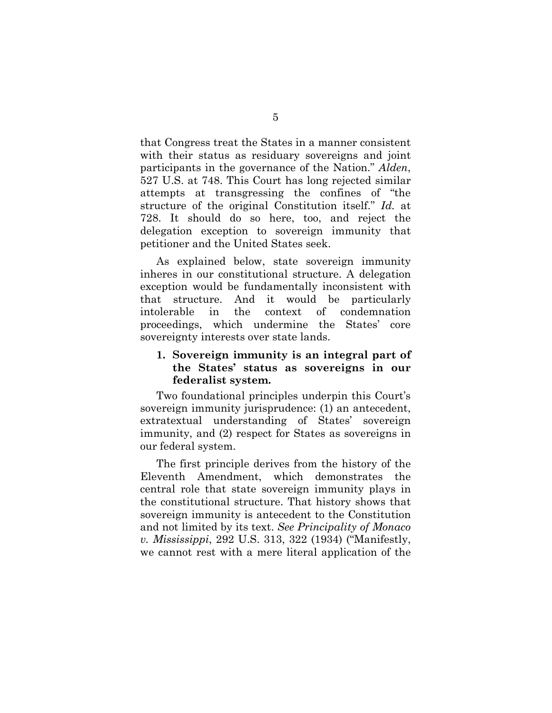that Congress treat the States in a manner consistent with their status as residuary sovereigns and joint participants in the governance of the Nation." *Alden*, 527 U.S. at 748. This Court has long rejected similar attempts at transgressing the confines of "the structure of the original Constitution itself." *Id.* at 728. It should do so here, too, and reject the delegation exception to sovereign immunity that petitioner and the United States seek.

As explained below, state sovereign immunity inheres in our constitutional structure. A delegation exception would be fundamentally inconsistent with that structure. And it would be particularly intolerable in the context of condemnation proceedings, which undermine the States' core sovereignty interests over state lands.

## <span id="page-11-0"></span>**1. Sovereign immunity is an integral part of the States' status as sovereigns in our federalist system.**

Two foundational principles underpin this Court's sovereign immunity jurisprudence: (1) an antecedent, extratextual understanding of States' sovereign immunity, and (2) respect for States as sovereigns in our federal system.

The first principle derives from the history of the Eleventh Amendment, which demonstrates the central role that state sovereign immunity plays in the constitutional structure. That history shows that sovereign immunity is antecedent to the Constitution and not limited by its text. *See Principality of Monaco v. Mississippi*, 292 U.S. 313, 322 (1934) ("Manifestly, we cannot rest with a mere literal application of the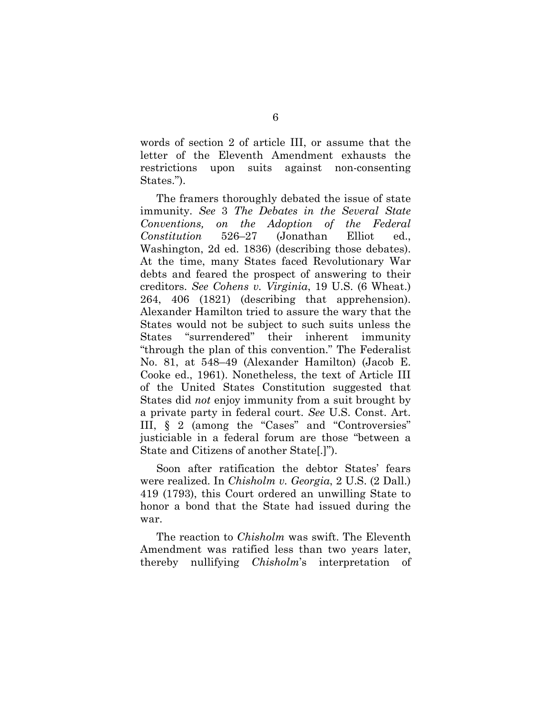words of section 2 of article III, or assume that the letter of the Eleventh Amendment exhausts the restrictions upon suits against non-consenting States.").

The framers thoroughly debated the issue of state immunity. *See* 3 *The Debates in the Several State Conventions, on the Adoption of the Federal Constitution* 526–27 (Jonathan Elliot ed., Washington, 2d ed. 1836) (describing those debates). At the time, many States faced Revolutionary War debts and feared the prospect of answering to their creditors. *See Cohens v. Virginia*, 19 U.S. (6 Wheat.) 264, 406 (1821) (describing that apprehension). Alexander Hamilton tried to assure the wary that the States would not be subject to such suits unless the States "surrendered" their inherent immunity "through the plan of this convention." The Federalist No. 81, at 548–49 (Alexander Hamilton) (Jacob E. Cooke ed., 1961). Nonetheless, the text of Article III of the United States Constitution suggested that States did *not* enjoy immunity from a suit brought by a private party in federal court. *See* U.S. Const. Art. III, § 2 (among the "Cases" and "Controversies" justiciable in a federal forum are those "between a State and Citizens of another State[.]").

Soon after ratification the debtor States' fears were realized. In *Chisholm v. Georgia*, 2 U.S. (2 Dall.) 419 (1793), this Court ordered an unwilling State to honor a bond that the State had issued during the war.

The reaction to *Chisholm* was swift. The Eleventh Amendment was ratified less than two years later, thereby nullifying *Chisholm*'s interpretation of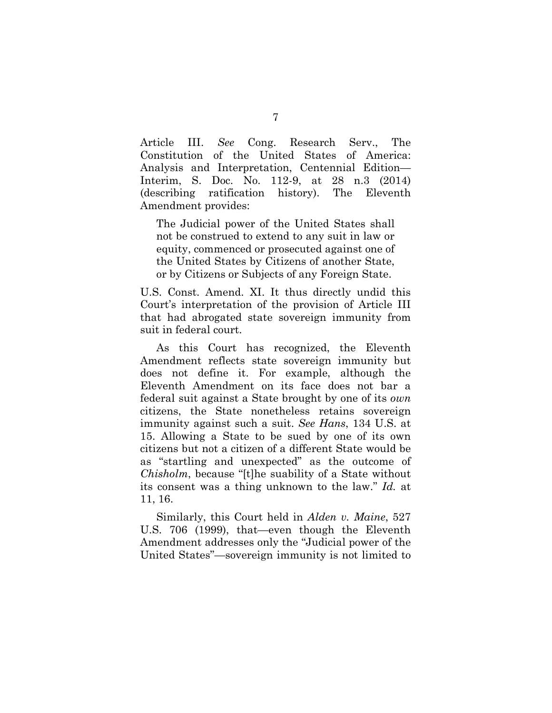Article III. *See* Cong. Research Serv., The Constitution of the United States of America: Analysis and Interpretation, Centennial Edition— Interim, S. Doc. No. 112-9, at 28 n.3 (2014) (describing ratification history). The Eleventh Amendment provides:

The Judicial power of the United States shall not be construed to extend to any suit in law or equity, commenced or prosecuted against one of the United States by Citizens of another State, or by Citizens or Subjects of any Foreign State.

U.S. Const. Amend. XI. It thus directly undid this Court's interpretation of the provision of Article III that had abrogated state sovereign immunity from suit in federal court.

As this Court has recognized, the Eleventh Amendment reflects state sovereign immunity but does not define it. For example, although the Eleventh Amendment on its face does not bar a federal suit against a State brought by one of its *own* citizens, the State nonetheless retains sovereign immunity against such a suit. *See Hans*, 134 U.S. at 15. Allowing a State to be sued by one of its own citizens but not a citizen of a different State would be as "startling and unexpected" as the outcome of *Chisholm*, because "[t]he suability of a State without its consent was a thing unknown to the law." *Id.* at 11, 16.

Similarly, this Court held in *Alden v. Maine*, 527 U.S. 706 (1999), that—even though the Eleventh Amendment addresses only the "Judicial power of the United States"—sovereign immunity is not limited to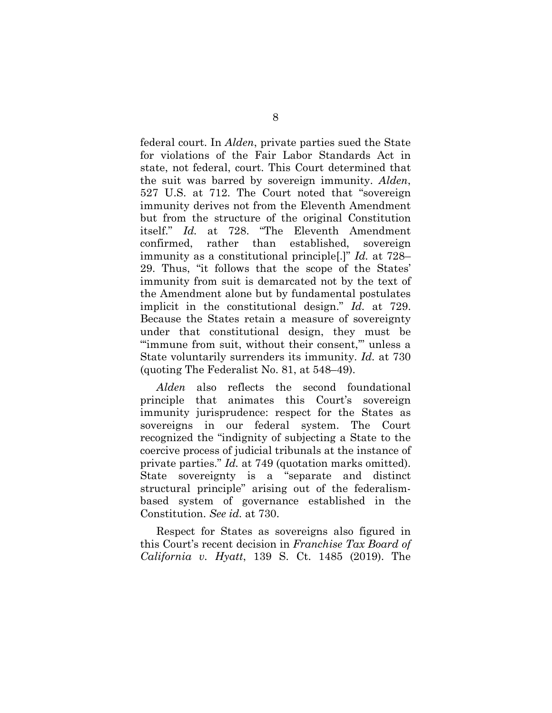federal court. In *Alden*, private parties sued the State for violations of the Fair Labor Standards Act in state, not federal, court. This Court determined that the suit was barred by sovereign immunity. *Alden*, 527 U.S. at 712. The Court noted that "sovereign immunity derives not from the Eleventh Amendment but from the structure of the original Constitution itself." *Id.* at 728. "The Eleventh Amendment confirmed, rather than established, sovereign immunity as a constitutional principle[.]" *Id.* at 728– 29. Thus, "it follows that the scope of the States' immunity from suit is demarcated not by the text of the Amendment alone but by fundamental postulates implicit in the constitutional design." *Id.* at 729. Because the States retain a measure of sovereignty under that constitutional design, they must be "immune from suit, without their consent," unless a State voluntarily surrenders its immunity. *Id.* at 730 (quoting The Federalist No. 81, at 548–49).

*Alden* also reflects the second foundational principle that animates this Court's sovereign immunity jurisprudence: respect for the States as sovereigns in our federal system. The Court recognized the "indignity of subjecting a State to the coercive process of judicial tribunals at the instance of private parties." *Id.* at 749 (quotation marks omitted). State sovereignty is a "separate and distinct structural principle" arising out of the federalismbased system of governance established in the Constitution. *See id.* at 730.

Respect for States as sovereigns also figured in this Court's recent decision in *Franchise Tax Board of California v. Hyatt*, 139 S. Ct. 1485 (2019). The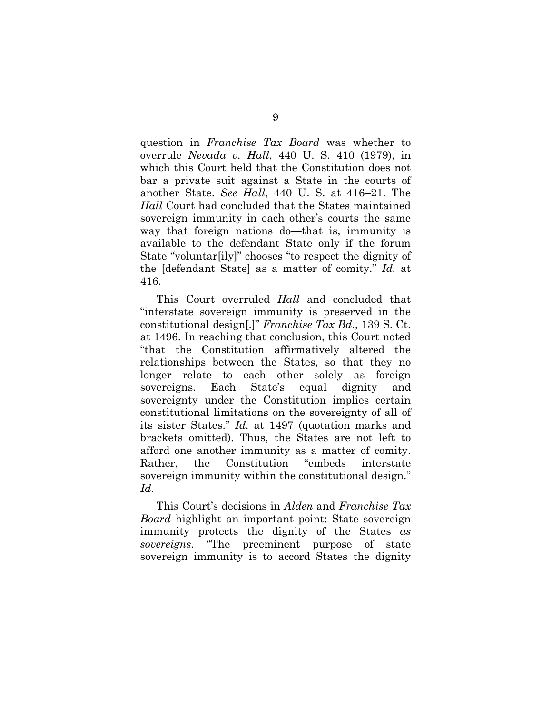question in *Franchise Tax Board* was whether to overrule *Nevada v. Hall*, 440 U. S. 410 (1979), in which this Court held that the Constitution does not bar a private suit against a State in the courts of another State. *See Hall*, 440 U. S. at 416–21. The *Hall* Court had concluded that the States maintained sovereign immunity in each other's courts the same way that foreign nations do—that is, immunity is available to the defendant State only if the forum State "voluntar[ily]" chooses "to respect the dignity of the [defendant State] as a matter of comity." *Id.* at 416.

This Court overruled *Hall* and concluded that "interstate sovereign immunity is preserved in the constitutional design[.]" *Franchise Tax Bd.*, 139 S. Ct. at 1496. In reaching that conclusion, this Court noted "that the Constitution affirmatively altered the relationships between the States, so that they no longer relate to each other solely as foreign sovereigns. Each State's equal dignity and sovereignty under the Constitution implies certain constitutional limitations on the sovereignty of all of its sister States." *Id.* at 1497 (quotation marks and brackets omitted). Thus, the States are not left to afford one another immunity as a matter of comity. Rather, the Constitution "embeds interstate sovereign immunity within the constitutional design." *Id.*

This Court's decisions in *Alden* and *Franchise Tax Board* highlight an important point: State sovereign immunity protects the dignity of the States *as sovereigns*. "The preeminent purpose of state sovereign immunity is to accord States the dignity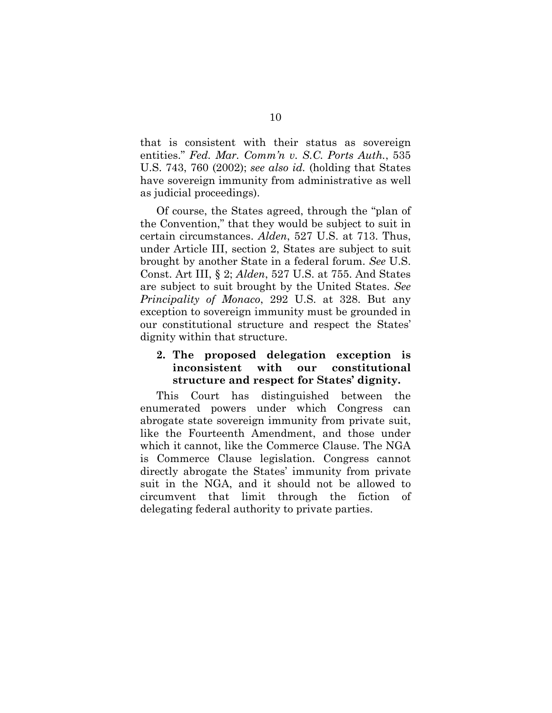that is consistent with their status as sovereign entities." *Fed. Mar. Comm'n v. S.C. Ports Auth.*, 535 U.S. 743, 760 (2002); *see also id.* (holding that States have sovereign immunity from administrative as well as judicial proceedings).

Of course, the States agreed, through the "plan of the Convention," that they would be subject to suit in certain circumstances. *Alden*, 527 U.S. at 713. Thus, under Article III, section 2, States are subject to suit brought by another State in a federal forum. *See* U.S. Const. Art III, § 2; *Alden*, 527 U.S. at 755. And States are subject to suit brought by the United States. *See Principality of Monaco*, 292 U.S. at 328. But any exception to sovereign immunity must be grounded in our constitutional structure and respect the States' dignity within that structure.

## <span id="page-16-0"></span>**2. The proposed delegation exception is inconsistent with our constitutional structure and respect for States' dignity.**

This Court has distinguished between the enumerated powers under which Congress can abrogate state sovereign immunity from private suit, like the Fourteenth Amendment, and those under which it cannot, like the Commerce Clause. The NGA is Commerce Clause legislation. Congress cannot directly abrogate the States' immunity from private suit in the NGA, and it should not be allowed to circumvent that limit through the fiction of delegating federal authority to private parties.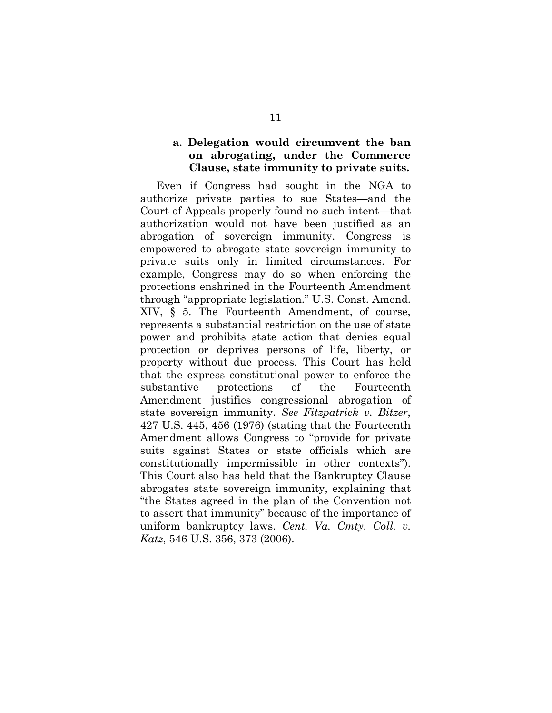### <span id="page-17-0"></span>**a. Delegation would circumvent the ban on abrogating, under the Commerce Clause, state immunity to private suits.**

Even if Congress had sought in the NGA to authorize private parties to sue States—and the Court of Appeals properly found no such intent—that authorization would not have been justified as an abrogation of sovereign immunity. Congress is empowered to abrogate state sovereign immunity to private suits only in limited circumstances. For example, Congress may do so when enforcing the protections enshrined in the Fourteenth Amendment through "appropriate legislation." U.S. Const. Amend. XIV, § 5. The Fourteenth Amendment, of course, represents a substantial restriction on the use of state power and prohibits state action that denies equal protection or deprives persons of life, liberty, or property without due process. This Court has held that the express constitutional power to enforce the substantive protections of the Fourteenth Amendment justifies congressional abrogation of state sovereign immunity. *See Fitzpatrick v. Bitzer*, 427 U.S. 445, 456 (1976) (stating that the Fourteenth Amendment allows Congress to "provide for private suits against States or state officials which are constitutionally impermissible in other contexts"). This Court also has held that the Bankruptcy Clause abrogates state sovereign immunity, explaining that "the States agreed in the plan of the Convention not to assert that immunity" because of the importance of uniform bankruptcy laws. *Cent. Va. Cmty. Coll. v. Katz*, 546 U.S. 356, 373 (2006).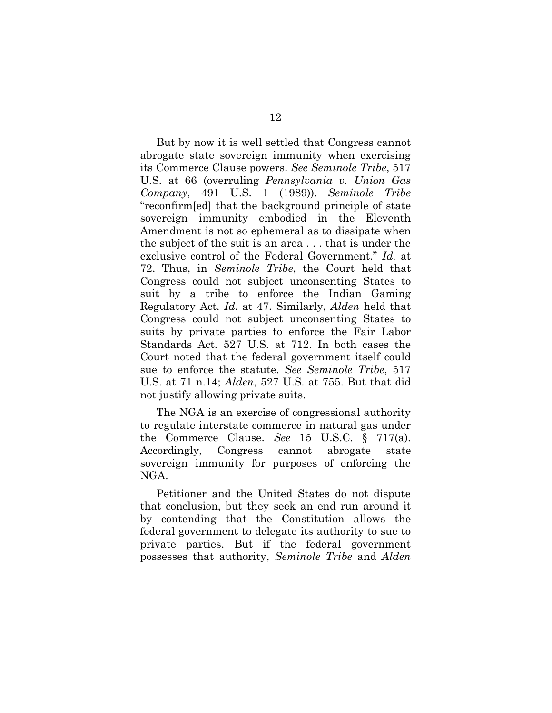But by now it is well settled that Congress cannot abrogate state sovereign immunity when exercising its Commerce Clause powers. *See Seminole Tribe*, 517 U.S. at 66 (overruling *Pennsylvania v. Union Gas Company*, 491 U.S. 1 (1989)). *Seminole Tribe* "reconfirm[ed] that the background principle of state sovereign immunity embodied in the Eleventh Amendment is not so ephemeral as to dissipate when the subject of the suit is an area . . . that is under the exclusive control of the Federal Government." *Id.* at 72. Thus, in *Seminole Tribe*, the Court held that Congress could not subject unconsenting States to suit by a tribe to enforce the Indian Gaming Regulatory Act. *Id.* at 47. Similarly, *Alden* held that Congress could not subject unconsenting States to suits by private parties to enforce the Fair Labor Standards Act. 527 U.S. at 712. In both cases the Court noted that the federal government itself could sue to enforce the statute. *See Seminole Tribe*, 517 U.S. at 71 n.14; *Alden*, 527 U.S. at 755. But that did not justify allowing private suits.

The NGA is an exercise of congressional authority to regulate interstate commerce in natural gas under the Commerce Clause. *See* 15 U.S.C. § 717(a). Accordingly, Congress cannot abrogate state sovereign immunity for purposes of enforcing the NGA.

Petitioner and the United States do not dispute that conclusion, but they seek an end run around it by contending that the Constitution allows the federal government to delegate its authority to sue to private parties. But if the federal government possesses that authority, *Seminole Tribe* and *Alden*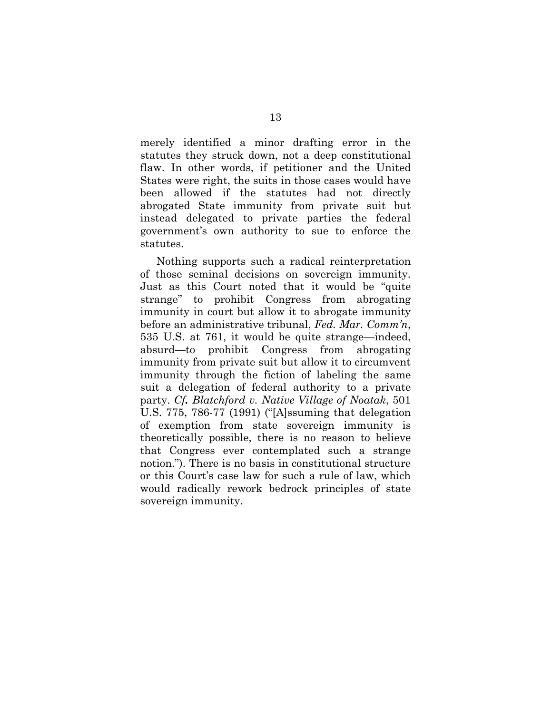merely identified a minor drafting error in the statutes they struck down, not a deep constitutional flaw. In other words, if petitioner and the United States were right, the suits in those cases would have been allowed if the statutes had not directly abrogated State immunity from private suit but instead delegated to private parties the federal government's own authority to sue to enforce the statutes.

Nothing supports such a radical reinterpretation of those seminal decisions on sovereign immunity. Just as this Court noted that it would be "quite strange" to prohibit Congress from abrogating immunity in court but allow it to abrogate immunity before an administrative tribunal, *Fed. Mar. Comm'n*, 535 U.S. at 761, it would be quite strange—indeed, absurd—to prohibit Congress from abrogating immunity from private suit but allow it to circumvent immunity through the fiction of labeling the same suit a delegation of federal authority to a private party. *Cf. Blatchford v. Native Village of Noatak*, 501 U.S. 775, 786-77 (1991) ("[A]ssuming that delegation of exemption from state sovereign immunity is theoretically possible, there is no reason to believe that Congress ever contemplated such a strange notion."). There is no basis in constitutional structure or this Court's case law for such a rule of law, which would radically rework bedrock principles of state sovereign immunity.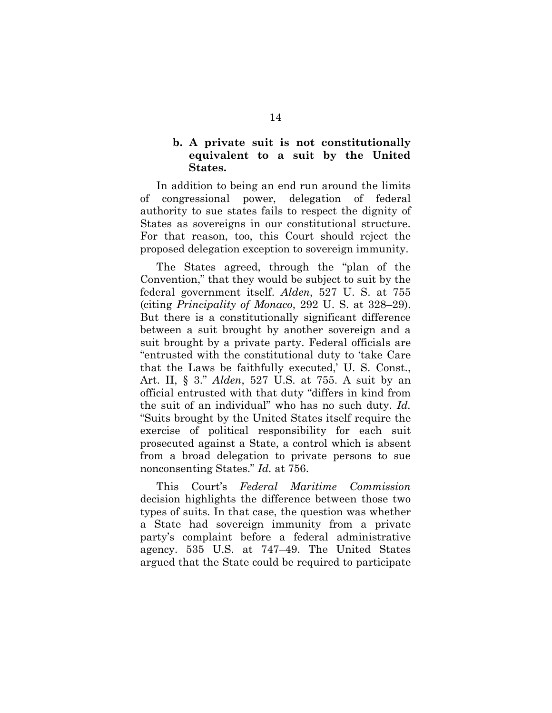## <span id="page-20-0"></span>**b. A private suit is not constitutionally equivalent to a suit by the United States.**

In addition to being an end run around the limits of congressional power, delegation of federal authority to sue states fails to respect the dignity of States as sovereigns in our constitutional structure. For that reason, too, this Court should reject the proposed delegation exception to sovereign immunity.

The States agreed, through the "plan of the Convention," that they would be subject to suit by the federal government itself. *Alden*, 527 U. S. at 755 (citing *Principality of Monaco*, 292 U. S. at 328–29). But there is a constitutionally significant difference between a suit brought by another sovereign and a suit brought by a private party. Federal officials are "entrusted with the constitutional duty to 'take Care that the Laws be faithfully executed,' U. S. Const., Art. II, § 3." *Alden*, 527 U.S. at 755. A suit by an official entrusted with that duty "differs in kind from the suit of an individual" who has no such duty. *Id.* "Suits brought by the United States itself require the exercise of political responsibility for each suit prosecuted against a State, a control which is absent from a broad delegation to private persons to sue nonconsenting States." *Id.* at 756.

This Court's *Federal Maritime Commission* decision highlights the difference between those two types of suits. In that case, the question was whether a State had sovereign immunity from a private party's complaint before a federal administrative agency. 535 U.S. at 747–49. The United States argued that the State could be required to participate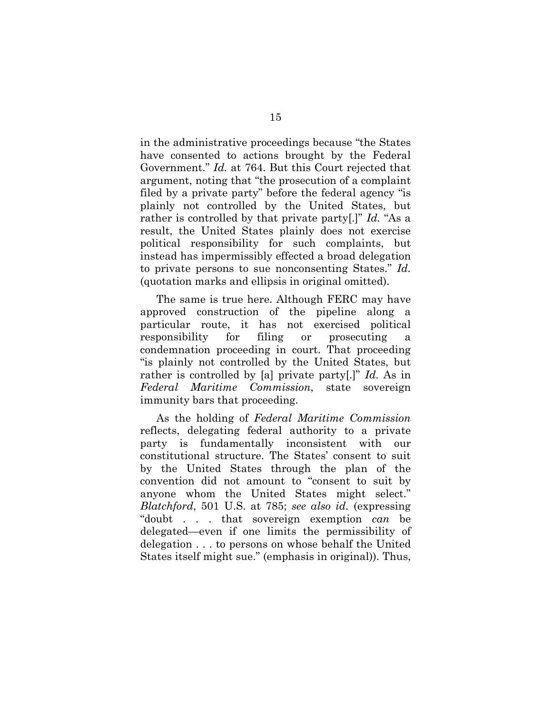in the administrative proceedings because "the States have consented to actions brought by the Federal Government." *Id.* at 764. But this Court rejected that argument, noting that "the prosecution of a complaint filed by a private party" before the federal agency "is plainly not controlled by the United States, but rather is controlled by that private party[.]" *Id.* "As a result, the United States plainly does not exercise political responsibility for such complaints, but instead has impermissibly effected a broad delegation to private persons to sue nonconsenting States." *Id.* (quotation marks and ellipsis in original omitted).

The same is true here. Although FERC may have approved construction of the pipeline along a particular route, it has not exercised political responsibility for filing or prosecuting a condemnation proceeding in court. That proceeding "is plainly not controlled by the United States, but rather is controlled by [a] private party[.]" *Id.* As in *Federal Maritime Commission*, state sovereign immunity bars that proceeding.

As the holding of *Federal Maritime Commission* reflects, delegating federal authority to a private party is fundamentally inconsistent with our constitutional structure. The States' consent to suit by the United States through the plan of the convention did not amount to "consent to suit by anyone whom the United States might select." *Blatchford*, 501 U.S. at 785; *see also id.* (expressing "doubt . . . that sovereign exemption *can* be delegated—even if one limits the permissibility of delegation . . . to persons on whose behalf the United States itself might sue." (emphasis in original)). Thus,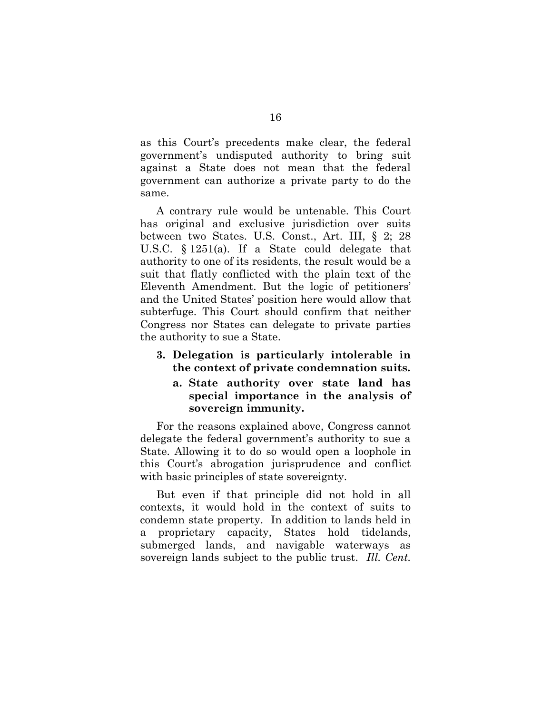as this Court's precedents make clear, the federal government's undisputed authority to bring suit against a State does not mean that the federal government can authorize a private party to do the same.

A contrary rule would be untenable. This Court has original and exclusive jurisdiction over suits between two States. U.S. Const., Art. III, § 2; 28 U.S.C. § 1251(a). If a State could delegate that authority to one of its residents, the result would be a suit that flatly conflicted with the plain text of the Eleventh Amendment. But the logic of petitioners' and the United States' position here would allow that subterfuge. This Court should confirm that neither Congress nor States can delegate to private parties the authority to sue a State.

- <span id="page-22-1"></span><span id="page-22-0"></span>**3. Delegation is particularly intolerable in the context of private condemnation suits.**
	- **a. State authority over state land has special importance in the analysis of sovereign immunity.**

For the reasons explained above, Congress cannot delegate the federal government's authority to sue a State. Allowing it to do so would open a loophole in this Court's abrogation jurisprudence and conflict with basic principles of state sovereignty.

But even if that principle did not hold in all contexts, it would hold in the context of suits to condemn state property. In addition to lands held in a proprietary capacity, States hold tidelands, submerged lands, and navigable waterways as sovereign lands subject to the public trust. *Ill. Cent.*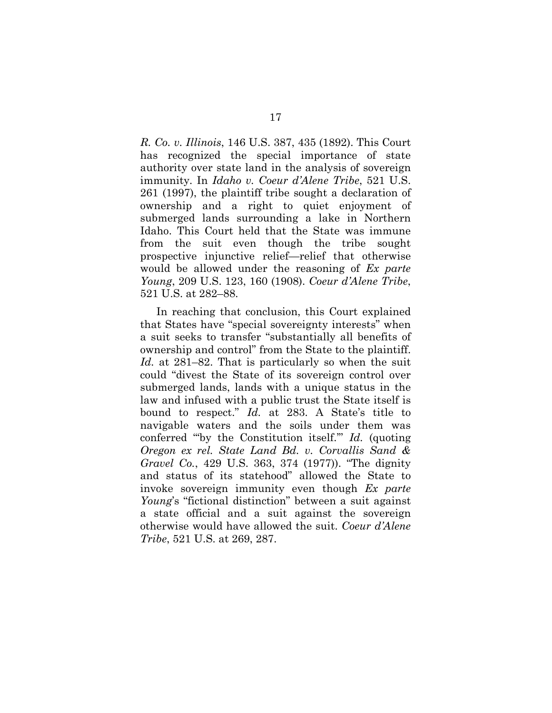*R. Co. v. Illinois*, 146 U.S. 387, 435 (1892). This Court has recognized the special importance of state authority over state land in the analysis of sovereign immunity. In *Idaho v. Coeur d'Alene Tribe*, 521 U.S. 261 (1997), the plaintiff tribe sought a declaration of ownership and a right to quiet enjoyment of submerged lands surrounding a lake in Northern Idaho. This Court held that the State was immune from the suit even though the tribe sought prospective injunctive relief—relief that otherwise would be allowed under the reasoning of *Ex parte Young*, 209 U.S. 123, 160 (1908). *Coeur d'Alene Tribe*, 521 U.S. at 282–88.

In reaching that conclusion, this Court explained that States have "special sovereignty interests" when a suit seeks to transfer "substantially all benefits of ownership and control" from the State to the plaintiff. *Id.* at 281–82. That is particularly so when the suit could "divest the State of its sovereign control over submerged lands, lands with a unique status in the law and infused with a public trust the State itself is bound to respect." *Id.* at 283. A State's title to navigable waters and the soils under them was conferred "'by the Constitution itself.'" *Id.* (quoting *Oregon ex rel. State Land Bd. v. Corvallis Sand & Gravel Co.*, 429 U.S. 363, 374 (1977)). "The dignity and status of its statehood" allowed the State to invoke sovereign immunity even though *Ex parte Young*'s "fictional distinction" between a suit against a state official and a suit against the sovereign otherwise would have allowed the suit. *Coeur d'Alene Tribe*, 521 U.S. at 269, 287.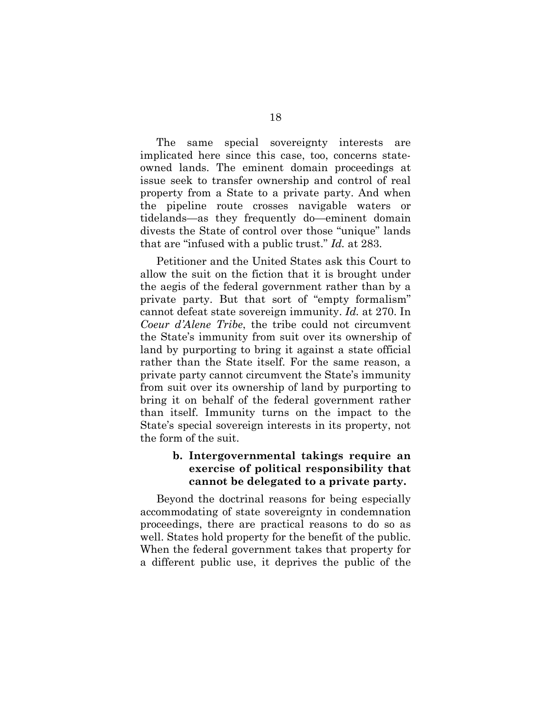The same special sovereignty interests are implicated here since this case, too, concerns stateowned lands. The eminent domain proceedings at issue seek to transfer ownership and control of real property from a State to a private party. And when the pipeline route crosses navigable waters or tidelands—as they frequently do—eminent domain divests the State of control over those "unique" lands that are "infused with a public trust." *Id.* at 283.

Petitioner and the United States ask this Court to allow the suit on the fiction that it is brought under the aegis of the federal government rather than by a private party. But that sort of "empty formalism" cannot defeat state sovereign immunity. *Id.* at 270. In *Coeur d'Alene Tribe*, the tribe could not circumvent the State's immunity from suit over its ownership of land by purporting to bring it against a state official rather than the State itself. For the same reason, a private party cannot circumvent the State's immunity from suit over its ownership of land by purporting to bring it on behalf of the federal government rather than itself. Immunity turns on the impact to the State's special sovereign interests in its property, not the form of the suit.

## <span id="page-24-0"></span>**b. Intergovernmental takings require an exercise of political responsibility that cannot be delegated to a private party.**

Beyond the doctrinal reasons for being especially accommodating of state sovereignty in condemnation proceedings, there are practical reasons to do so as well. States hold property for the benefit of the public. When the federal government takes that property for a different public use, it deprives the public of the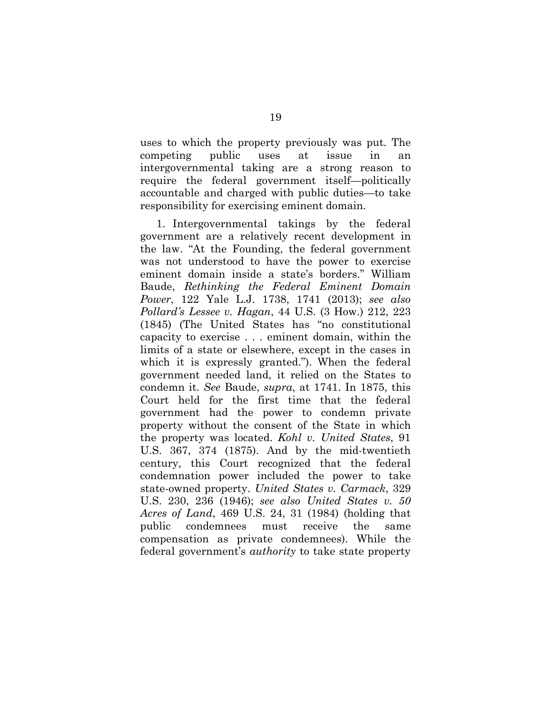uses to which the property previously was put. The competing public uses at issue in an intergovernmental taking are a strong reason to require the federal government itself—politically accountable and charged with public duties—to take responsibility for exercising eminent domain.

1. Intergovernmental takings by the federal government are a relatively recent development in the law. "At the Founding, the federal government was not understood to have the power to exercise eminent domain inside a state's borders." William Baude, *Rethinking the Federal Eminent Domain Power*, 122 Yale L.J. 1738, 1741 (2013); *see also Pollard's Lessee v. Hagan*, 44 U.S. (3 How.) 212, 223 (1845) (The United States has "no constitutional capacity to exercise . . . eminent domain, within the limits of a state or elsewhere, except in the cases in which it is expressly granted."). When the federal government needed land, it relied on the States to condemn it. *See* Baude, *supra*, at 1741. In 1875, this Court held for the first time that the federal government had the power to condemn private property without the consent of the State in which the property was located. *Kohl v. United States*, 91 U.S. 367, 374 (1875). And by the mid-twentieth century, this Court recognized that the federal condemnation power included the power to take state-owned property. *United States v. Carmack*, 329 U.S. 230, 236 (1946); *see also United States v. 50 Acres of Land*, 469 U.S. 24, 31 (1984) (holding that public condemnees must receive the same compensation as private condemnees). While the federal government's *authority* to take state property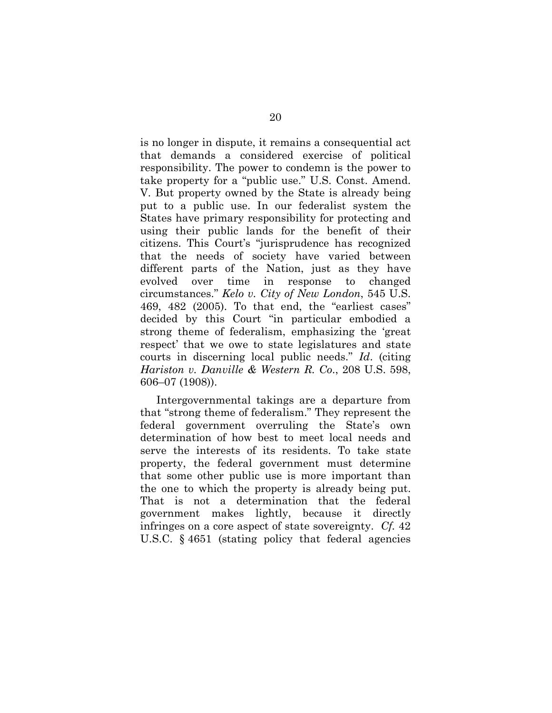is no longer in dispute, it remains a consequential act that demands a considered exercise of political responsibility. The power to condemn is the power to take property for a "public use." U.S. Const. Amend. V. But property owned by the State is already being put to a public use. In our federalist system the States have primary responsibility for protecting and using their public lands for the benefit of their citizens. This Court's "jurisprudence has recognized that the needs of society have varied between different parts of the Nation, just as they have evolved over time in response to changed circumstances." *Kelo v. City of New London*, 545 U.S. 469, 482 (2005). To that end, the "earliest cases" decided by this Court "in particular embodied a strong theme of federalism, emphasizing the 'great respect' that we owe to state legislatures and state courts in discerning local public needs." *Id*. (citing *Hariston v. Danville & Western R. Co*., 208 U.S. 598, 606–07 (1908)).

Intergovernmental takings are a departure from that "strong theme of federalism." They represent the federal government overruling the State's own determination of how best to meet local needs and serve the interests of its residents. To take state property, the federal government must determine that some other public use is more important than the one to which the property is already being put. That is not a determination that the federal government makes lightly, because it directly infringes on a core aspect of state sovereignty. *Cf.* 42 U.S.C. § 4651 (stating policy that federal agencies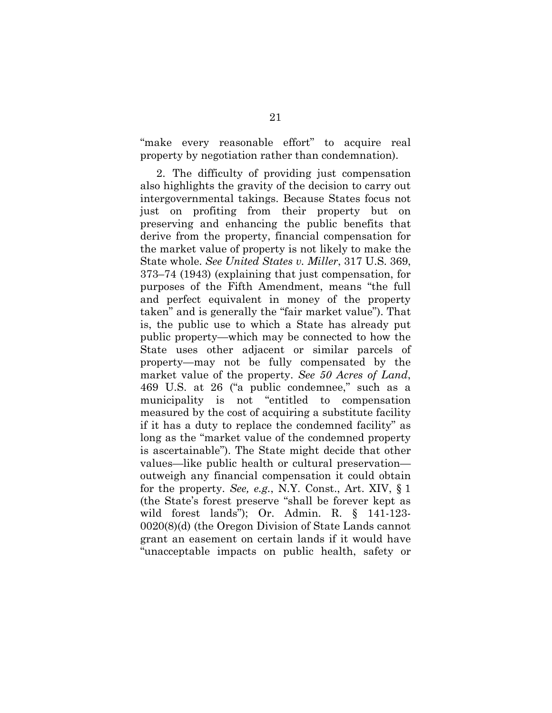"make every reasonable effort" to acquire real property by negotiation rather than condemnation).

2. The difficulty of providing just compensation also highlights the gravity of the decision to carry out intergovernmental takings. Because States focus not just on profiting from their property but on preserving and enhancing the public benefits that derive from the property, financial compensation for the market value of property is not likely to make the State whole. *See United States v. Miller*, 317 U.S. 369, 373–74 (1943) (explaining that just compensation, for purposes of the Fifth Amendment, means "the full and perfect equivalent in money of the property taken" and is generally the "fair market value"). That is, the public use to which a State has already put public property—which may be connected to how the State uses other adjacent or similar parcels of property—may not be fully compensated by the market value of the property. *See 50 Acres of Land*, 469 U.S. at 26 ("a public condemnee," such as a municipality is not "entitled to compensation measured by the cost of acquiring a substitute facility if it has a duty to replace the condemned facility" as long as the "market value of the condemned property is ascertainable"). The State might decide that other values—like public health or cultural preservation outweigh any financial compensation it could obtain for the property. *See, e.g.*, N.Y. Const., Art. XIV, § 1 (the State's forest preserve "shall be forever kept as wild forest lands"); Or. Admin. R. § 141-123- 0020(8)(d) (the Oregon Division of State Lands cannot grant an easement on certain lands if it would have "unacceptable impacts on public health, safety or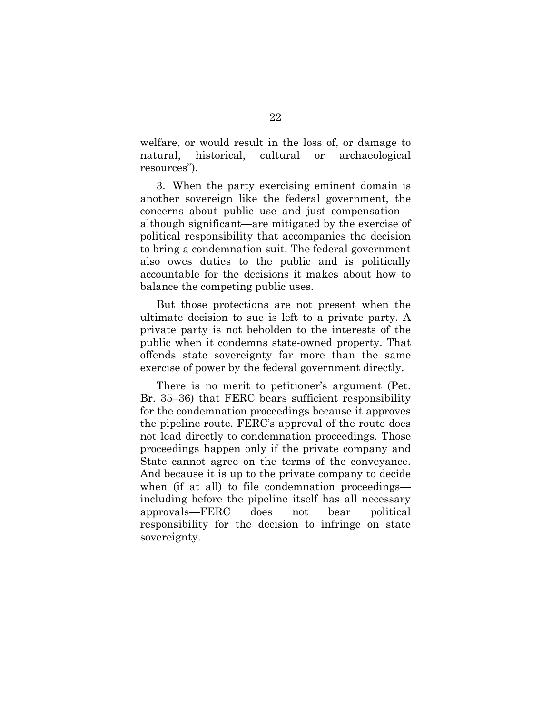welfare, or would result in the loss of, or damage to natural, historical, cultural or archaeological resources").

3. When the party exercising eminent domain is another sovereign like the federal government, the concerns about public use and just compensation although significant—are mitigated by the exercise of political responsibility that accompanies the decision to bring a condemnation suit. The federal government also owes duties to the public and is politically accountable for the decisions it makes about how to balance the competing public uses.

But those protections are not present when the ultimate decision to sue is left to a private party. A private party is not beholden to the interests of the public when it condemns state-owned property. That offends state sovereignty far more than the same exercise of power by the federal government directly.

There is no merit to petitioner's argument (Pet. Br. 35–36) that FERC bears sufficient responsibility for the condemnation proceedings because it approves the pipeline route. FERC's approval of the route does not lead directly to condemnation proceedings. Those proceedings happen only if the private company and State cannot agree on the terms of the conveyance. And because it is up to the private company to decide when (if at all) to file condemnation proceedings including before the pipeline itself has all necessary approvals—FERC does not bear political responsibility for the decision to infringe on state sovereignty.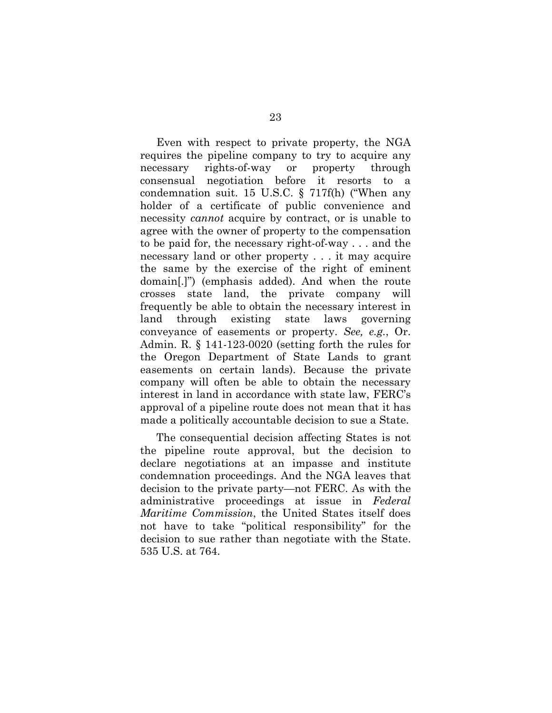Even with respect to private property, the NGA requires the pipeline company to try to acquire any necessary rights-of-way or property through consensual negotiation before it resorts to a condemnation suit. 15 U.S.C. § 717f(h) ("When any holder of a certificate of public convenience and necessity *cannot* acquire by contract, or is unable to agree with the owner of property to the compensation to be paid for, the necessary right-of-way . . . and the necessary land or other property . . . it may acquire the same by the exercise of the right of eminent domain[.]") (emphasis added). And when the route crosses state land, the private company will frequently be able to obtain the necessary interest in land through existing state laws governing conveyance of easements or property. *See, e.g.*, Or. Admin. R. § 141-123-0020 (setting forth the rules for the Oregon Department of State Lands to grant easements on certain lands). Because the private company will often be able to obtain the necessary interest in land in accordance with state law, FERC's approval of a pipeline route does not mean that it has made a politically accountable decision to sue a State.

The consequential decision affecting States is not the pipeline route approval, but the decision to declare negotiations at an impasse and institute condemnation proceedings. And the NGA leaves that decision to the private party—not FERC. As with the administrative proceedings at issue in *Federal Maritime Commission*, the United States itself does not have to take "political responsibility" for the decision to sue rather than negotiate with the State. 535 U.S. at 764.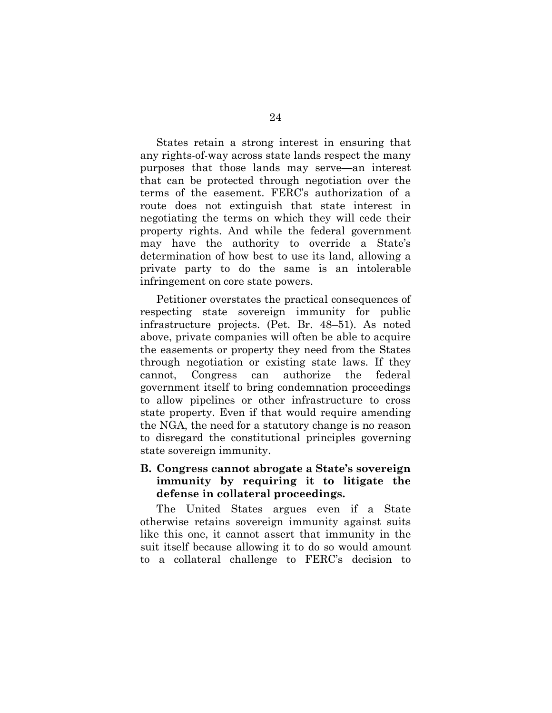States retain a strong interest in ensuring that any rights-of-way across state lands respect the many purposes that those lands may serve—an interest that can be protected through negotiation over the terms of the easement. FERC's authorization of a route does not extinguish that state interest in negotiating the terms on which they will cede their property rights. And while the federal government may have the authority to override a State's determination of how best to use its land, allowing a private party to do the same is an intolerable infringement on core state powers.

Petitioner overstates the practical consequences of respecting state sovereign immunity for public infrastructure projects. (Pet. Br. 48–51). As noted above, private companies will often be able to acquire the easements or property they need from the States through negotiation or existing state laws. If they cannot, Congress can authorize the federal government itself to bring condemnation proceedings to allow pipelines or other infrastructure to cross state property. Even if that would require amending the NGA, the need for a statutory change is no reason to disregard the constitutional principles governing state sovereign immunity.

## <span id="page-30-0"></span>**B. Congress cannot abrogate a State's sovereign immunity by requiring it to litigate the defense in collateral proceedings.**

The United States argues even if a State otherwise retains sovereign immunity against suits like this one, it cannot assert that immunity in the suit itself because allowing it to do so would amount to a collateral challenge to FERC's decision to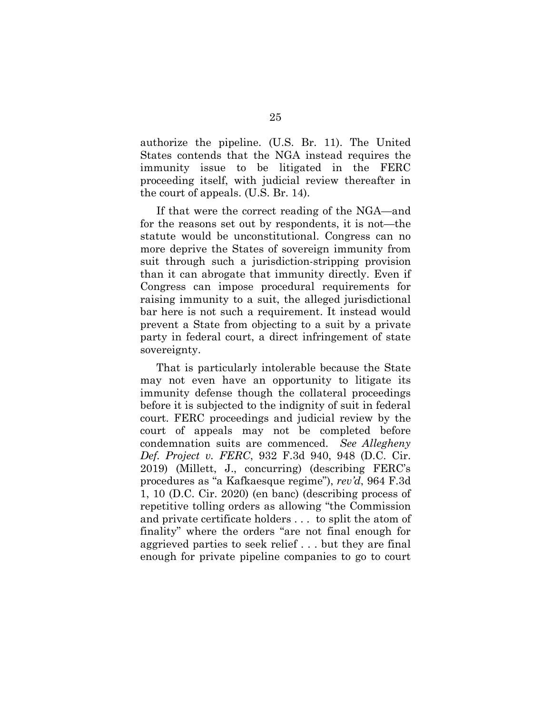authorize the pipeline. (U.S. Br. 11). The United States contends that the NGA instead requires the immunity issue to be litigated in the FERC proceeding itself, with judicial review thereafter in the court of appeals. (U.S. Br. 14).

If that were the correct reading of the NGA—and for the reasons set out by respondents, it is not—the statute would be unconstitutional. Congress can no more deprive the States of sovereign immunity from suit through such a jurisdiction-stripping provision than it can abrogate that immunity directly. Even if Congress can impose procedural requirements for raising immunity to a suit, the alleged jurisdictional bar here is not such a requirement. It instead would prevent a State from objecting to a suit by a private party in federal court, a direct infringement of state sovereignty.

That is particularly intolerable because the State may not even have an opportunity to litigate its immunity defense though the collateral proceedings before it is subjected to the indignity of suit in federal court. FERC proceedings and judicial review by the court of appeals may not be completed before condemnation suits are commenced. *See Allegheny Def. Project v. FERC*, 932 F.3d 940, 948 (D.C. Cir. 2019) (Millett, J., concurring) (describing FERC's procedures as "a Kafkaesque regime"), *rev'd*, 964 F.3d 1, 10 (D.C. Cir. 2020) (en banc) (describing process of repetitive tolling orders as allowing "the Commission and private certificate holders . . . to split the atom of finality" where the orders "are not final enough for aggrieved parties to seek relief . . . but they are final enough for private pipeline companies to go to court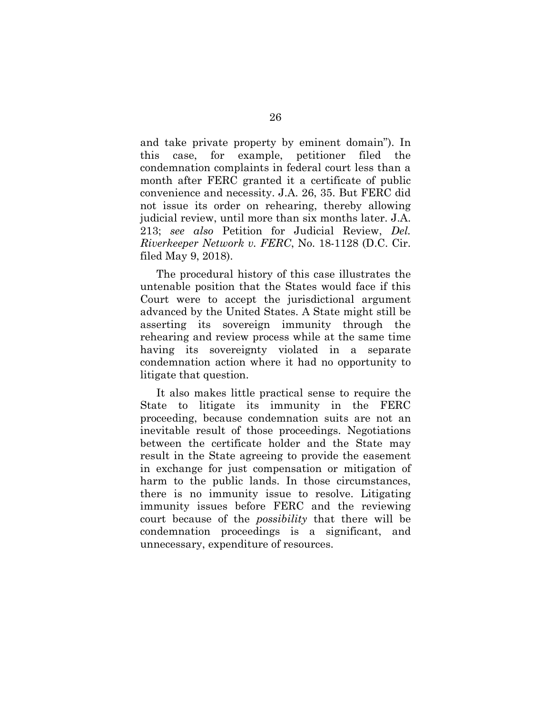and take private property by eminent domain"). In this case, for example, petitioner filed the condemnation complaints in federal court less than a month after FERC granted it a certificate of public convenience and necessity. J.A. 26, 35. But FERC did not issue its order on rehearing, thereby allowing judicial review, until more than six months later. J.A. 213; *see also* Petition for Judicial Review, *Del. Riverkeeper Network v. FERC*, No. 18-1128 (D.C. Cir. filed May 9, 2018).

The procedural history of this case illustrates the untenable position that the States would face if this Court were to accept the jurisdictional argument advanced by the United States. A State might still be asserting its sovereign immunity through the rehearing and review process while at the same time having its sovereignty violated in a separate condemnation action where it had no opportunity to litigate that question.

It also makes little practical sense to require the State to litigate its immunity in the FERC proceeding, because condemnation suits are not an inevitable result of those proceedings. Negotiations between the certificate holder and the State may result in the State agreeing to provide the easement in exchange for just compensation or mitigation of harm to the public lands. In those circumstances, there is no immunity issue to resolve. Litigating immunity issues before FERC and the reviewing court because of the *possibility* that there will be condemnation proceedings is a significant, and unnecessary, expenditure of resources.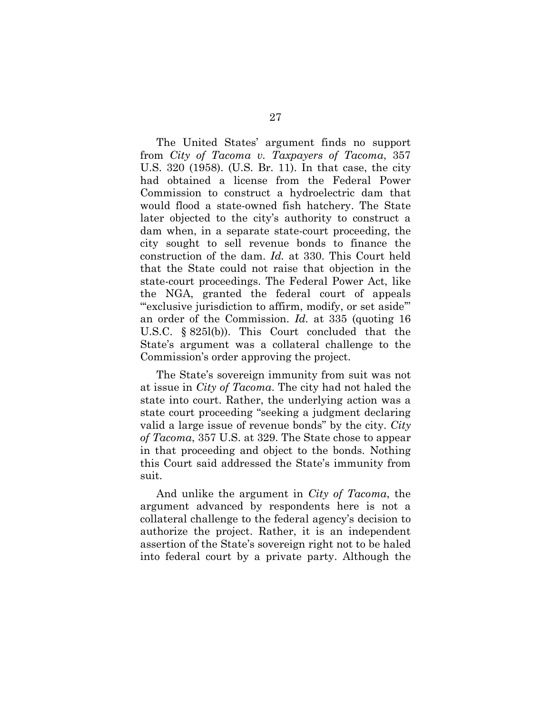The United States' argument finds no support from *City of Tacoma v. Taxpayers of Tacoma*, 357 U.S. 320 (1958). (U.S. Br. 11). In that case, the city had obtained a license from the Federal Power Commission to construct a hydroelectric dam that would flood a state-owned fish hatchery. The State later objected to the city's authority to construct a dam when, in a separate state-court proceeding, the city sought to sell revenue bonds to finance the construction of the dam. *Id.* at 330. This Court held that the State could not raise that objection in the state-court proceedings. The Federal Power Act, like the NGA, granted the federal court of appeals "exclusive jurisdiction to affirm, modify, or set aside" an order of the Commission. *Id.* at 335 (quoting 16 U.S.C. § 825l(b)). This Court concluded that the State's argument was a collateral challenge to the Commission's order approving the project.

The State's sovereign immunity from suit was not at issue in *City of Tacoma*. The city had not haled the state into court. Rather, the underlying action was a state court proceeding "seeking a judgment declaring valid a large issue of revenue bonds" by the city. *City of Tacoma*, 357 U.S. at 329. The State chose to appear in that proceeding and object to the bonds. Nothing this Court said addressed the State's immunity from suit.

And unlike the argument in *City of Tacoma*, the argument advanced by respondents here is not a collateral challenge to the federal agency's decision to authorize the project. Rather, it is an independent assertion of the State's sovereign right not to be haled into federal court by a private party. Although the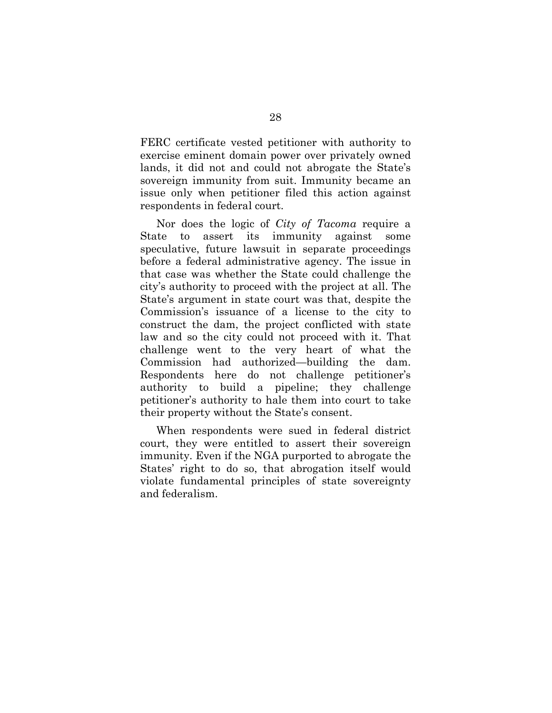FERC certificate vested petitioner with authority to exercise eminent domain power over privately owned lands, it did not and could not abrogate the State's sovereign immunity from suit. Immunity became an issue only when petitioner filed this action against respondents in federal court.

Nor does the logic of *City of Tacoma* require a State to assert its immunity against some speculative, future lawsuit in separate proceedings before a federal administrative agency. The issue in that case was whether the State could challenge the city's authority to proceed with the project at all. The State's argument in state court was that, despite the Commission's issuance of a license to the city to construct the dam, the project conflicted with state law and so the city could not proceed with it. That challenge went to the very heart of what the Commission had authorized—building the dam. Respondents here do not challenge petitioner's authority to build a pipeline; they challenge petitioner's authority to hale them into court to take their property without the State's consent.

When respondents were sued in federal district court, they were entitled to assert their sovereign immunity. Even if the NGA purported to abrogate the States' right to do so, that abrogation itself would violate fundamental principles of state sovereignty and federalism.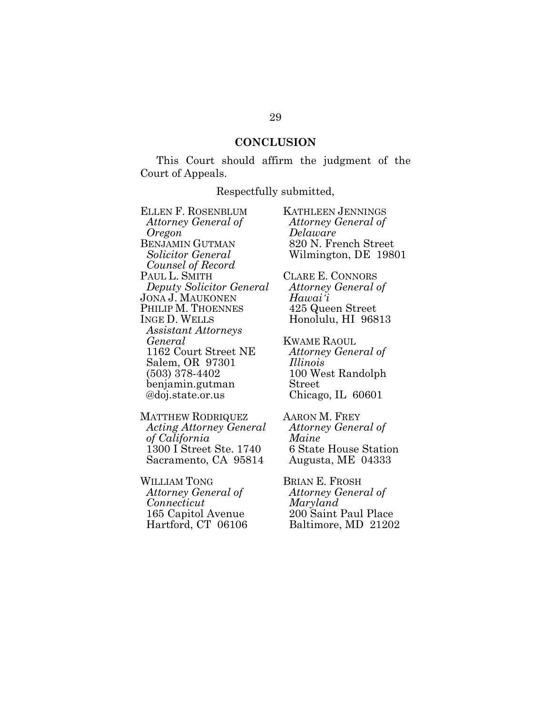#### <span id="page-35-1"></span>**CONCLUSION**

<span id="page-35-0"></span>This Court should affirm the judgment of the Court of Appeals.

#### Respectfully submitted,

ELLEN F. ROSENBLUM *Attorney General of Oregon* BENJAMIN GUTMAN *Solicitor General Counsel of Record* PAUL L. SMITH *Deputy Solicitor General* JONA J. MAUKONEN PHILIP M. THOENNES INGE D. WELLS *Assistant Attorneys General* 1162 Court Street NE Salem, OR 97301 (503) 378-4402 benjamin.gutman @doj.state.or.us

MATTHEW RODRIQUEZ *Acting Attorney General of California* 1300 I Street Ste. 1740 Sacramento, CA 95814

WILLIAM TONG *Attorney General of Connecticut* 165 Capitol Avenue Hartford, CT 06106

*Attorney General of Delaware* 820 N. French Street Wilmington, DE 19801 CLARE E. CONNORS *Attorney General of Hawaiʻi* 425 Queen Street Honolulu, HI 96813 KWAME RAOUL

KATHLEEN JENNINGS

*Attorney General of Illinois* 100 West Randolph Street Chicago, IL 60601

AARON M. FREY *Attorney General of Maine* 6 State House Station Augusta, ME 04333

BRIAN E. FROSH *Attorney General of Maryland* 200 Saint Paul Place Baltimore, MD 21202